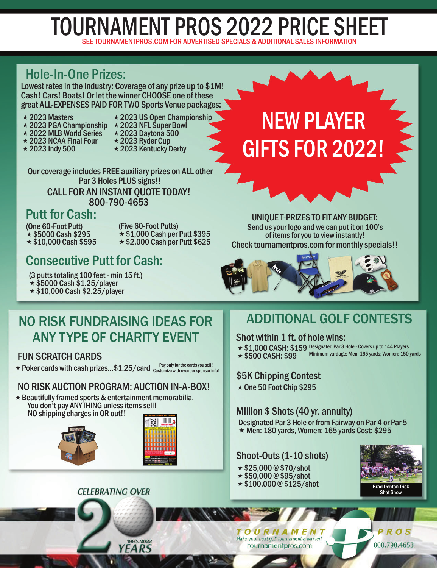# SEE TOURNAMENTPROS.COM FOR ADVERTISED SPECIALS & ADDITIONAL SALES INFORMATION TOURNAMENT PROS 2022 PRICE SHEET

## Hole-In-One Prizes:

Lowest rates in the industry: Coverage of any prize up to \$1M! Cash! Cars! Boats! Or let the winner CHOOSE one of these great ALL-EXPENSES PAID FOR TWO Sports Venue packages:

- $\star$  2023 Masters
- **★ 2023 PGA Championship ★ 2023 NFL Super Bowl**
- ★ 2022 MLB World Series
- $\star$  2023 NCAA Final Four
- $\star$  2023 Indy 500
- $\star$  2023 US Open Championship
- $\star$  2023 Daytona 500
- $\star$  2023 Ryder Cup
- 
- **★ 2023 Kentucky Derby**

Our coverage includes FREE auxiliary prizes on ALL other Par 3 Holes PLUS signs!! CALL FOR AN INSTANT QUOTE TODAY! 800-790-4653

NO RISK FUNDRAISING IDEAS FOR

ANY TYPE OF CHARITY EVENT

NO RISK AUCTION PROGRAM: AUCTION IN-A-BOX!  $\star$  Beautifully framed sports & entertainment memorabilia.

**CELEBRATING OVER** 

1993-2022

YEARS

 $\star$  Poker cards with cash prizes...\$1.25/card  $\frac{Pay\ only\ for\ the\ cards\ you\ sell!}{\text{Customer to\ response\ int\ }l}$ 

You don't pay ANYTHING unless items sell!

NO shipping charges in OR out!!

### Putt for Cash:

(One 60-Foot Putt)  $\star$  \$5000 Cash \$295  $\star$  \$10,000 Cash \$595

FUN SCRATCH CARDS

(Five 60-Foot Putts)  $\star$  \$1,000 Cash per Putt \$395  $\star$  \$2,000 Cash per Putt \$625

# Consecutive Putt for Cash:

(3 putts totaling 100 feet - min 15 ft.)  $\star$  \$5000 Cash \$1.25/player

 $\star$  \$10,000 Cash \$2.25/player



NEW PLAYER



# ADDITIONAL GOLF CONTESTS

Shot within 1 ft. of hole wins:

- ★ \$1,000 CASH: \$159 Designated Par 3 Hole Covers up to 144 Players
- $\star$  \$500 CASH: \$99 Minimum yardage: Men: 165 yards; Women: 150 yards

### \$5K Chipping Contest

 $\star$  One 50 Foot Chip \$295

### Million \$ Shots (40 yr. annuity)

Designated Par 3 Hole or from Fairway on Par 4 or Par 5  $\star$  Men: 180 yards, Women: 165 yards Cost: \$295

### Shoot-Outs (1-10 shots)

- $*$  \$25,000 @ \$70/shot
- $\star$  \$50,000 @ \$95/shot
- $\star$  \$100,000 @ \$125/shot Brad Denton Trick



### OURNAMENT Make your next golf tournament a winner!

tournamentpros.com

PROS

800.790.4653